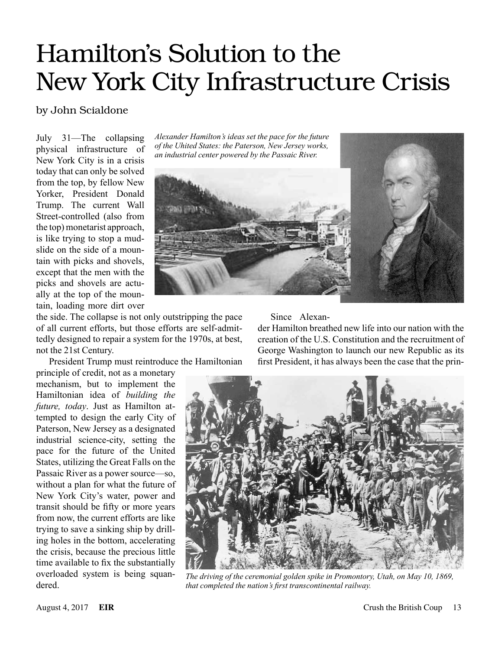# Hamilton's Solution to the New York City Infrastructure Crisis

# by John Scialdone

July 31—The collapsing physical infrastructure of New York City is in a crisis today that can only be solved from the top, by fellow New Yorker, President Donald Trump. The current Wall Street-controlled (also from the top) monetarist approach, is like trying to stop a mudslide on the side of a mountain with picks and shovels, except that the men with the picks and shovels are actually at the top of the mountain, loading more dirt over

the side. The collapse is not only outstripping the pace of all current efforts, but those efforts are self-admittedly designed to repair a system for the 1970s, at best, not the 21st Century.

President Trump must reintroduce the Hamiltonian

principle of credit, not as a monetary mechanism, but to implement the Hamiltonian idea of *building the future, today*. Just as Hamilton attempted to design the early City of Paterson, New Jersey as a designated industrial science-city, setting the pace for the future of the United States, utilizing the Great Falls on the Passaic River as a power source—so, without a plan for what the future of New York City's water, power and transit should be fifty or more years from now, the current efforts are like trying to save a sinking ship by drilling holes in the bottom, accelerating the crisis, because the precious little time available to fix the substantially overloaded system is being squandered.

*Alexander Hamilton's ideas set the pace for the future of the Uhited States: the Paterson, New Jersey works, an industrial center powered by the Passaic River.*



#### Since Alexan-

der Hamilton breathed new life into our nation with the creation of the U.S. Constitution and the recruitment of George Washington to launch our new Republic as its first President, it has always been the case that the prin-



*The driving of the ceremonial golden spike in Promontory, Utah, on May 10, 1869, that completed the nation's first transcontinental railway.*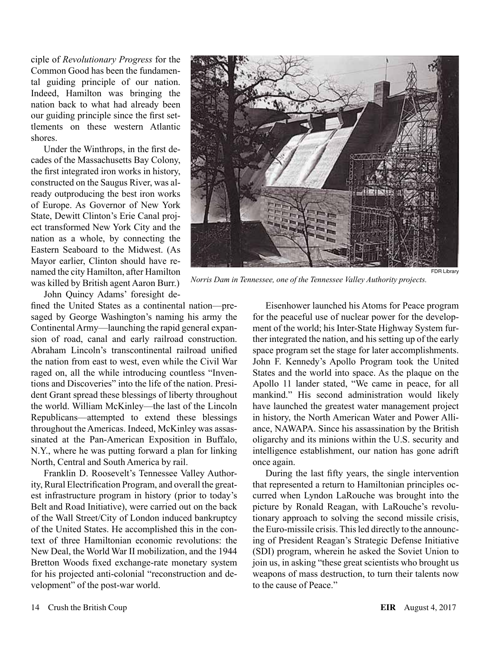ciple of *Revolutionary Progress* for the Common Good has been the fundamental guiding principle of our nation. Indeed, Hamilton was bringing the nation back to what had already been our guiding principle since the first settlements on these western Atlantic shores.

Under the Winthrops, in the first decades of the Massachusetts Bay Colony, the first integrated iron works in history, constructed on the Saugus River, was already outproducing the best iron works of Europe. As Governor of New York State, Dewitt Clinton's Erie Canal project transformed New York City and the nation as a whole, by connecting the Eastern Seaboard to the Midwest. (As Mayor earlier, Clinton should have renamed the city Hamilton, after Hamilton was killed by British agent Aaron Burr.)

John Quincy Adams' foresight de-

fined the United States as a continental nation—presaged by George Washington's naming his army the Continental Army—launching the rapid general expansion of road, canal and early railroad construction. Abraham Lincoln's transcontinental railroad unified the nation from east to west, even while the Civil War raged on, all the while introducing countless "Inventions and Discoveries" into the life of the nation. President Grant spread these blessings of liberty throughout the world. William McKinley—the last of the Lincoln Republicans—attempted to extend these blessings throughout the Americas. Indeed, McKinley was assassinated at the Pan-American Exposition in Buffalo, N.Y., where he was putting forward a plan for linking North, Central and South America by rail.

Franklin D. Roosevelt's Tennessee Valley Authority, Rural Electrification Program, and overall the greatest infrastructure program in history (prior to today's Belt and Road Initiative), were carried out on the back of the Wall Street/City of London induced bankruptcy of the United States. He accomplished this in the context of three Hamiltonian economic revolutions: the New Deal, the World War II mobilization, and the 1944 Bretton Woods fixed exchange-rate monetary system for his projected anti-colonial "reconstruction and development" of the post-war world.



*Norris Dam in Tennessee, one of the Tennessee Valley Authority projects.*

Eisenhower launched his Atoms for Peace program for the peaceful use of nuclear power for the development of the world; his Inter-State Highway System further integrated the nation, and his setting up of the early space program set the stage for later accomplishments. John F. Kennedy's Apollo Program took the United States and the world into space. As the plaque on the Apollo 11 lander stated, "We came in peace, for all mankind." His second administration would likely have launched the greatest water management project in history, the North American Water and Power Alliance, NAWAPA. Since his assassination by the British oligarchy and its minions within the U.S. security and intelligence establishment, our nation has gone adrift once again.

During the last fifty years, the single intervention that represented a return to Hamiltonian principles occurred when Lyndon LaRouche was brought into the picture by Ronald Reagan, with LaRouche's revolutionary approach to solving the second missile crisis, the Euro-missile crisis. This led directly to the announcing of President Reagan's Strategic Defense Initiative (SDI) program, wherein he asked the Soviet Union to join us, in asking "these great scientists who brought us weapons of mass destruction, to turn their talents now to the cause of Peace."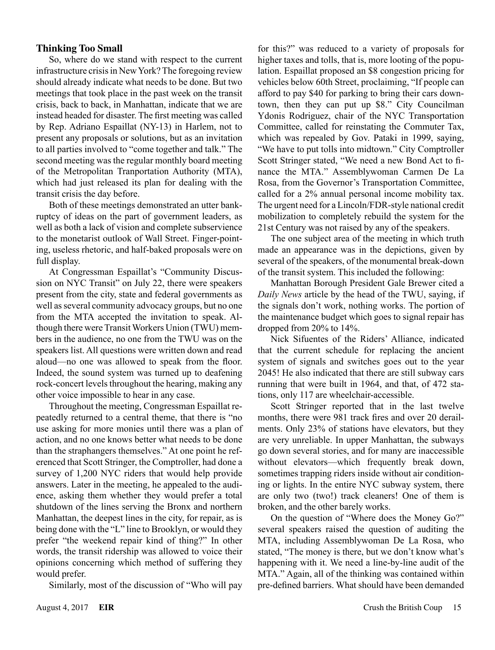# **Thinking Too Small**

So, where do we stand with respect to the current infrastructure crisis in New York? The foregoing review should already indicate what needs to be done. But two meetings that took place in the past week on the transit crisis, back to back, in Manhattan, indicate that we are instead headed for disaster. The first meeting was called by Rep. Adriano Espaillat (NY-13) in Harlem, not to present any proposals or solutions, but as an invitation to all parties involved to "come together and talk." The second meeting was the regular monthly board meeting of the Metropolitan Tranportation Authority (MTA), which had just released its plan for dealing with the transit crisis the day before.

Both of these meetings demonstrated an utter bankruptcy of ideas on the part of government leaders, as well as both a lack of vision and complete subservience to the monetarist outlook of Wall Street. Finger-pointing, useless rhetoric, and half-baked proposals were on full display.

At Congressman Espaillat's "Community Discussion on NYC Transit" on July 22, there were speakers present from the city, state and federal governments as well as several community advocacy groups, but no one from the MTA accepted the invitation to speak. Although there were Transit Workers Union (TWU) members in the audience, no one from the TWU was on the speakers list. All questions were written down and read aloud—no one was allowed to speak from the floor. Indeed, the sound system was turned up to deafening rock-concert levels throughout the hearing, making any other voice impossible to hear in any case.

Throughout the meeting, Congressman Espaillat repeatedly returned to a central theme, that there is "no use asking for more monies until there was a plan of action, and no one knows better what needs to be done than the straphangers themselves." At one point he referenced that Scott Stringer, the Comptroller, had done a survey of 1,200 NYC riders that would help provide answers. Later in the meeting, he appealed to the audience, asking them whether they would prefer a total shutdown of the lines serving the Bronx and northern Manhattan, the deepest lines in the city, for repair, as is being done with the "L" line to Brooklyn, or would they prefer "the weekend repair kind of thing?" In other words, the transit ridership was allowed to voice their opinions concerning which method of suffering they would prefer.

Similarly, most of the discussion of "Who will pay

for this?" was reduced to a variety of proposals for higher taxes and tolls, that is, more looting of the population. Espaillat proposed an \$8 congestion pricing for vehicles below 60th Street, proclaiming, "If people can afford to pay \$40 for parking to bring their cars downtown, then they can put up \$8." City Councilman Ydonis Rodriguez, chair of the NYC Transportation Committee, called for reinstating the Commuter Tax, which was repealed by Gov. Pataki in 1999, saying, "We have to put tolls into midtown." City Comptroller Scott Stringer stated, "We need a new Bond Act to finance the MTA." Assemblywoman Carmen De La Rosa, from the Governor's Transportation Committee, called for a 2% annual personal income mobility tax. The urgent need for a Lincoln/FDR-style national credit mobilization to completely rebuild the system for the 21st Century was not raised by any of the speakers.

The one subject area of the meeting in which truth made an appearance was in the depictions, given by several of the speakers, of the monumental break-down of the transit system. This included the following:

Manhattan Borough President Gale Brewer cited a *Daily News* article by the head of the TWU, saying, if the signals don't work, nothing works. The portion of the maintenance budget which goes to signal repair has dropped from 20% to 14%.

Nick Sifuentes of the Riders' Alliance, indicated that the current schedule for replacing the ancient system of signals and switches goes out to the year 2045! He also indicated that there are still subway cars running that were built in 1964, and that, of 472 stations, only 117 are wheelchair-accessible.

Scott Stringer reported that in the last twelve months, there were 981 track fires and over 20 derailments. Only 23% of stations have elevators, but they are very unreliable. In upper Manhattan, the subways go down several stories, and for many are inaccessible without elevators—which frequently break down, sometimes trapping riders inside without air conditioning or lights. In the entire NYC subway system, there are only two (two!) track cleaners! One of them is broken, and the other barely works.

On the question of "Where does the Money Go?" several speakers raised the question of auditing the MTA, including Assemblywoman De La Rosa, who stated, "The money is there, but we don't know what's happening with it. We need a line-by-line audit of the MTA." Again, all of the thinking was contained within pre-defined barriers. What should have been demanded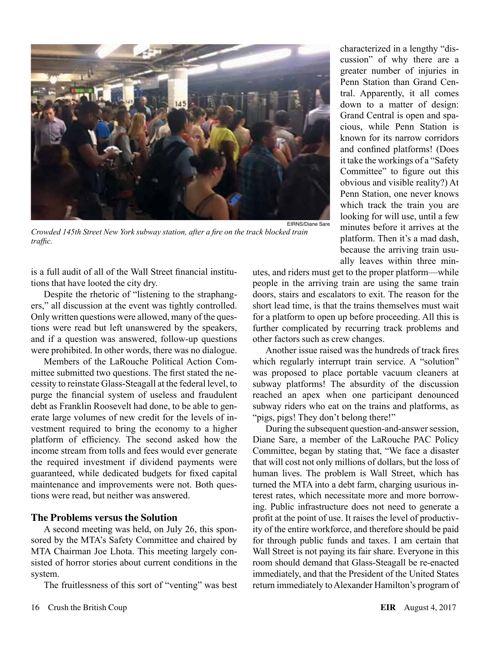

*Crowded 145th Street New York subway station, after a fire on the track blocked train traffic.*

is a full audit of all of the Wall Street financial institutions that have looted the city dry.

Despite the rhetoric of "listening to the straphangers," all discussion at the event was tightly controlled. Only written questions were allowed, many of the questions were read but left unanswered by the speakers, and if a question was answered, follow-up questions were prohibited. In other words, there was no dialogue.

Members of the LaRouche Political Action Committee submitted two questions. The first stated the necessity to reinstate Glass-Steagall at the federal level, to purge the financial system of useless and fraudulent debt as Franklin Roosevelt had done, to be able to generate large volumes of new credit for the levels of investment required to bring the economy to a higher platform of efficiency. The second asked how the income stream from tolls and fees would ever generate the required investment if dividend payments were guaranteed, while dedicated budgets for fixed capital maintenance and improvements were not. Both questions were read, but neither was answered.

## **The Problems versus the Solution**

A second meeting was held, on July 26, this sponsored by the MTA's Safety Committee and chaired by MTA Chairman Joe Lhota. This meeting largely consisted of horror stories about current conditions in the system.

The fruitlessness of this sort of "venting" was best

characterized in a lengthy "discussion" of why there are a greater number of injuries in Penn Station than Grand Central. Apparently, it all comes down to a matter of design: Grand Central is open and spacious, while Penn Station is known for its narrow corridors and confined platforms! (Does it take the workings of a "Safety Committee" to figure out this obvious and visible reality?) At Penn Station, one never knows which track the train you are looking for will use, until a few minutes before it arrives at the platform. Then it's a mad dash, because the arriving train usually leaves within three min-

utes, and riders must get to the proper platform—while people in the arriving train are using the same train doors, stairs and escalators to exit. The reason for the short lead time, is that the trains themselves must wait for a platform to open up before proceeding. All this is further complicated by recurring track problems and other factors such as crew changes.

Another issue raised was the hundreds of track fires which regularly interrupt train service. A "solution" was proposed to place portable vacuum cleaners at subway platforms! The absurdity of the discussion reached an apex when one participant denounced subway riders who eat on the trains and platforms, as "pigs, pigs! They don't belong there!"

During the subsequent question-and-answer session, Diane Sare, a member of the LaRouche PAC Policy Committee, began by stating that, "We face a disaster that will cost not only millions of dollars, but the loss of human lives. The problem is Wall Street, which has turned the MTA into a debt farm, charging usurious interest rates, which necessitate more and more borrowing. Public infrastructure does not need to generate a profit at the point of use. It raises the level of productivity of the entire workforce, and therefore should be paid for through public funds and taxes. I am certain that Wall Street is not paying its fair share. Everyone in this room should demand that Glass-Steagall be re-enacted immediately, and that the President of the United States return immediately to Alexander Hamilton's program of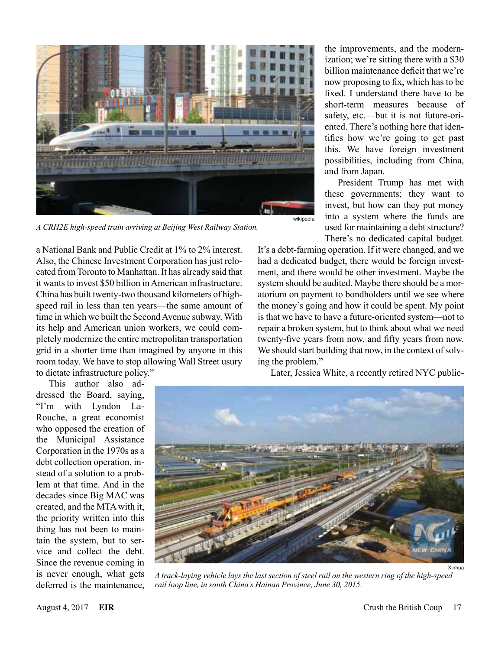

*A CRH2E high-speed train arriving at Beijing West Railway Station.*

a National Bank and Public Credit at 1% to 2% interest. Also, the Chinese Investment Corporation has just relocated from Toronto to Manhattan. It has already said that it wants to invest \$50 billion in American infrastructure. China has built twenty-two thousand kilometers of highspeed rail in less than ten years—the same amount of time in which we built the Second Avenue subway. With its help and American union workers, we could completely modernize the entire metropolitan transportation grid in a shorter time than imagined by anyone in this room today. We have to stop allowing Wall Street usury to dictate infrastructure policy."

This author also addressed the Board, saying, "I'm with Lyndon La-Rouche, a great economist who opposed the creation of the Municipal Assistance Corporation in the 1970s as a debt collection operation, instead of a solution to a problem at that time. And in the decades since Big MAC was created, and the MTA with it, the priority written into this thing has not been to maintain the system, but to service and collect the debt. Since the revenue coming in is never enough, what gets deferred is the maintenance,

the improvements, and the modernization; we're sitting there with a \$30 billion maintenance deficit that we're now proposing to fix, which has to be fixed. I understand there have to be short-term measures because of safety, etc.—but it is not future-oriented. There's nothing here that identifies how we're going to get past this. We have foreign investment possibilities, including from China, and from Japan.

President Trump has met with these governments; they want to invest, but how can they put money into a system where the funds are used for maintaining a debt structure? There's no dedicated capital budget.

It's a debt-farming operation. If it were changed, and we had a dedicated budget, there would be foreign investment, and there would be other investment. Maybe the system should be audited. Maybe there should be a moratorium on payment to bondholders until we see where the money's going and how it could be spent. My point is that we have to have a future-oriented system—not to repair a broken system, but to think about what we need twenty-five years from now, and fifty years from now. We should start building that now, in the context of solving the problem."

*A track-laying vehicle lays the last section of steel rail on the western ring of the high-speed rail loop line, in south China's Hainan Province, June 30, 2015.*

Later, Jessica White, a recently retired NYC public-

Xinhua